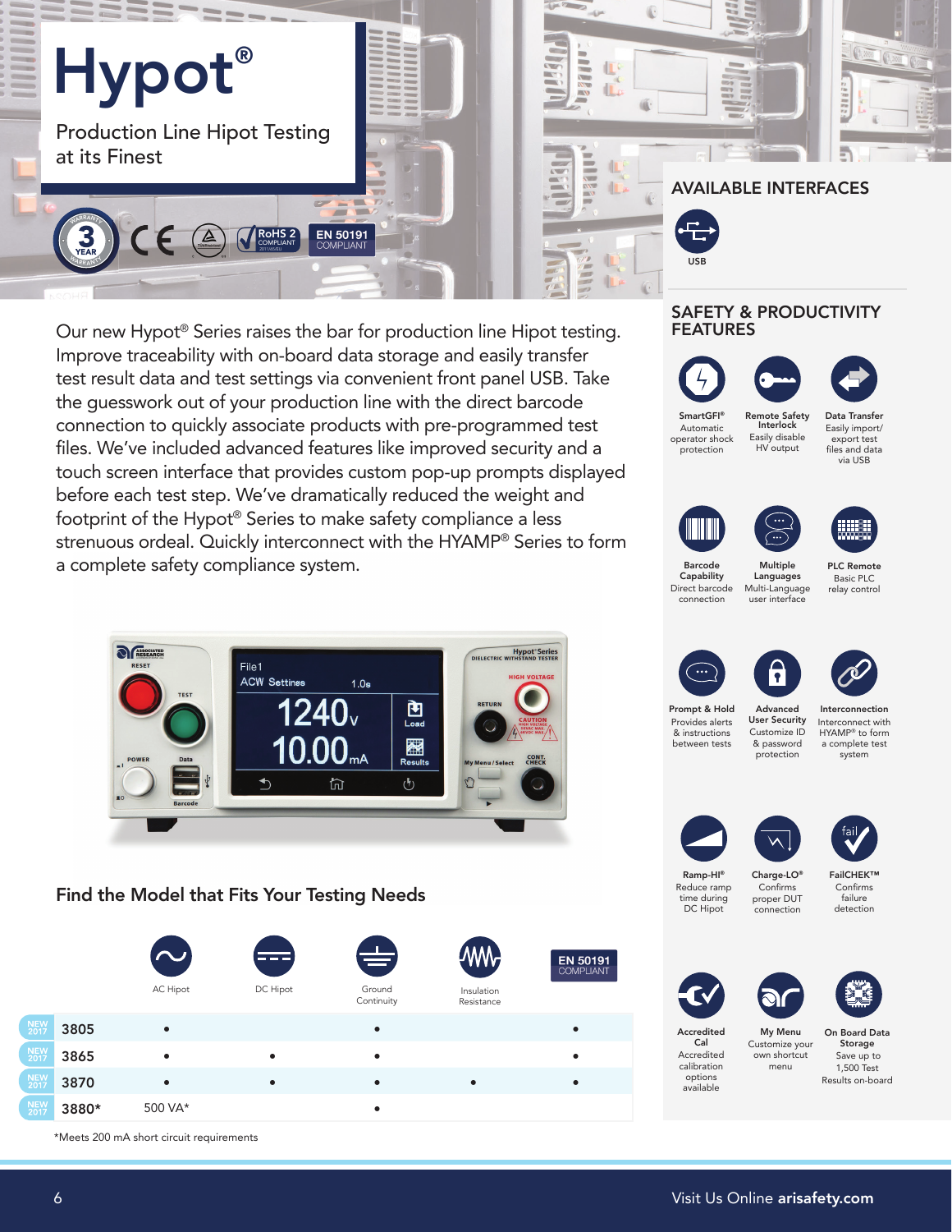

Our new Hypot® Series raises the bar for production line Hipot testing. Improve traceability with on-board data storage and easily transfer test result data and test settings via convenient front panel USB. Take the guesswork out of your production line with the direct barcode connection to quickly associate products with pre-programmed test files. We've included advanced features like improved security and a touch screen interface that provides custom pop-up prompts displayed before each test step. We've dramatically reduced the weight and footprint of the Hypot® Series to make safety compliance a less strenuous ordeal. Quickly interconnect with the HYAMP® Series to form a complete safety compliance system.



Find the Model that Fits Your Testing Needs



## SAFETY & PRODUCTIVITY FEATURES







SmartGFI® Smart GFI Automatic operator shock protection ® Interlock Easily disable Interlock HV output

Data Transfer Easily import/ export test files and data via USB Remote Safety Data Transfer Remote Safety







Barcode Barcode Capability Capability Direct barcode connection user interface

Multiple Multiple Languages Languages Multi-Language PLC Remote Basic PLC relay control









Prompt & Prompt & Hold Provides alerts & instructions between tests

Advanced Advanced User Security Customize ID User Security & password .<br>protection

Interconnection Interconnect Interconnect with HYAMP® to form a complete test system





Ramp-HI® Ramp-HI ® Reduce ramp time during DC Hipot

Charge-LO® Charge-LO® Confirms proper DUT connection

FailCHEK™ FailCHEK® Confirms failure detection





Accredited Accredited Cal Cal Accredited calibration options available My Menu Customize your own shortcut menu

On Board Data Storage Save up to 1,500 Test Results on-board

\*Meets 200 mA short circuit requirements